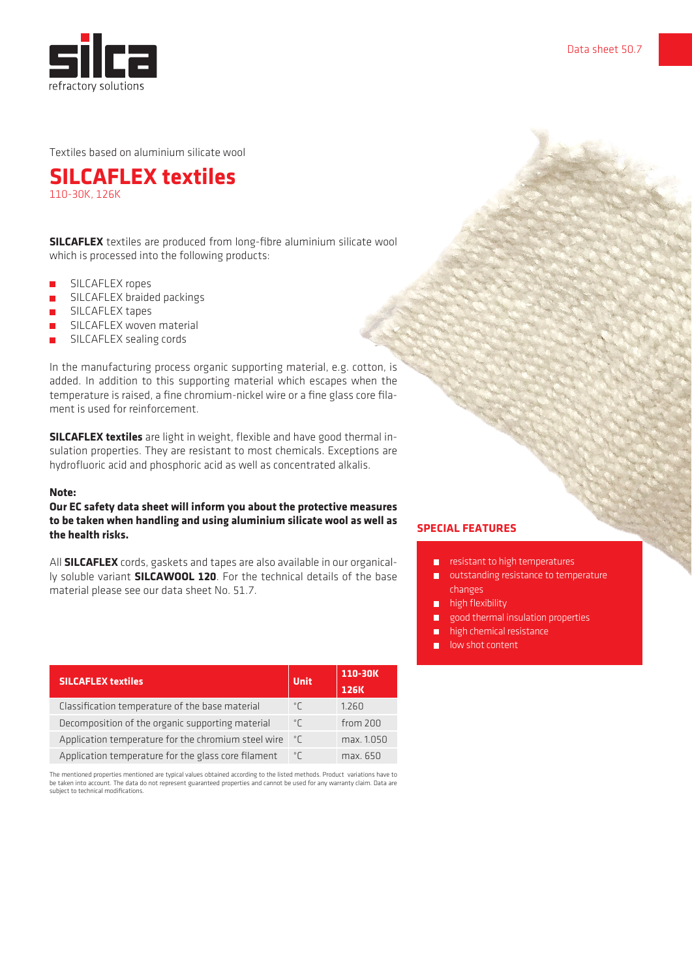

Textiles based on aluminium silicate wool

**SILCAFLEX textiles** 110-30K, 126K

**SILCAFLEX** textiles are produced from long-fibre aluminium silicate wool which is processed into the following products:

- **B** SILCAFLEX ropes
- **••** SILCAFLEX braided packings
- **••** SILCAFLEX tapes
- **SILCAFLEX woven material**
- **SILCAFLEX sealing cords**

In the manufacturing process organic supporting material, e.g. cotton, is added. In addition to this supporting material which escapes when the temperature is raised, a fine chromium-nickel wire or a fine glass core filament is used for reinforcement.

**SILCAFLEX textiles** are light in weight, flexible and have good thermal insulation properties. They are resistant to most chemicals. Exceptions are hydrofluoric acid and phosphoric acid as well as concentrated alkalis.

#### **Note:**

### **Our EC safety data sheet will inform you about the protective measures to be taken when handling and using aluminium silicate wool as well as the health risks.**

All **SILCAFLEX** cords, gaskets and tapes are also available in our organically soluble variant **SILCAWOOL 120**. For the technical details of the base material please see our data sheet No. 51.7.

| <b>SILCAFLEX textiles</b>                           | <b>Unit</b>         | 110-30K<br><b>126K</b> |
|-----------------------------------------------------|---------------------|------------------------|
| Classification temperature of the base material     | $^{\circ}$          | 1.260                  |
| Decomposition of the organic supporting material    | $^{\circ}$ $\Gamma$ | from 200               |
| Application temperature for the chromium steel wire | ಿΓ                  | max. 1.050             |
| Application temperature for the glass core filament | $^{\circ}$ $\Gamma$ | max. 650               |

The mentioned properties mentioned are typical values obtained according to the listed methods. Product variations have to be taken into account. The data do not represent guaranteed properties and cannot be used for any warranty claim. Data are subject to technical modifications.

#### **SPECIAL FEATURES**

- resistant to high temperatures
- **Outstanding resistance to temperature** changes
- **high flexibility**
- **good thermal insulation properties**
- high chemical resistance
- low shot content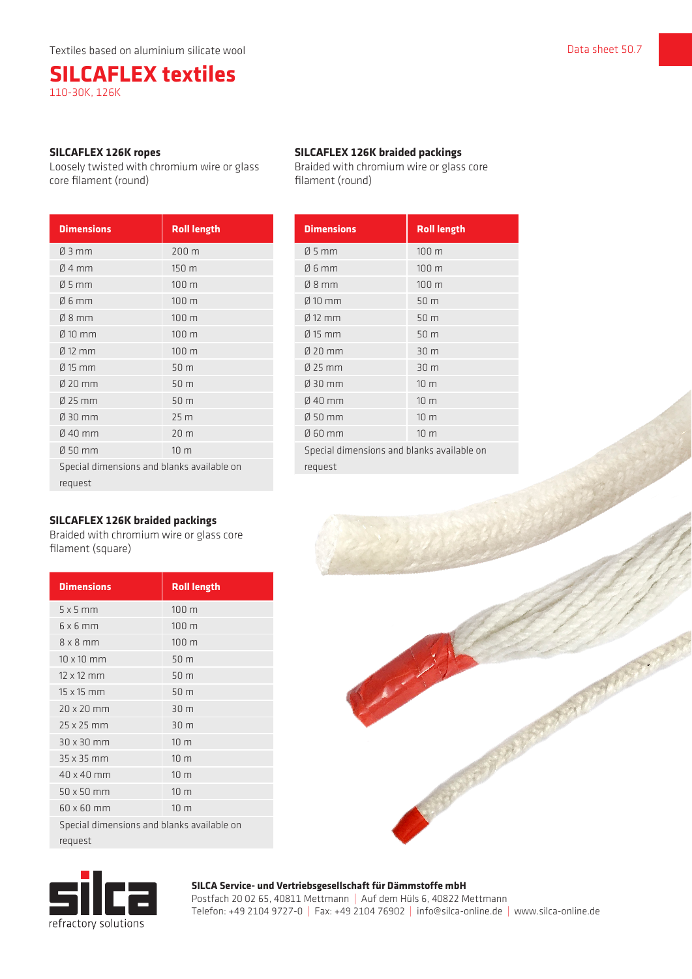# **SILCAFLEX textiles** 110-30K, 126K

#### **SILCAFLEX 126K ropes**

Loosely twisted with chromium wire or glass core filament (round)

| <b>Dimensions</b>                          | <b>Roll length</b> |
|--------------------------------------------|--------------------|
| $\varnothing$ 3 mm                         | 200 m              |
| $Ø$ 4 mm                                   | 150 m              |
| $\varnothing$ 5 mm                         | 100 m              |
| $06$ mm                                    | 100 m              |
| $08$ mm                                    | 100 m              |
| $Ø$ 10 mm                                  | 100 m              |
| $\varnothing$ 12 mm                        | 100 m              |
| $\varnothing$ 15 mm                        | 50 m               |
| $020$ mm                                   | 50 m               |
| Ø 25 mm                                    | 50 m               |
| Ø 30 mm                                    | 25 <sub>m</sub>    |
| $\emptyset$ 40 mm                          | 20 m               |
| $050$ mm                                   | 10 <sub>m</sub>    |
| Special dimensions and blanks available on |                    |
| request                                    |                    |

# **SILCAFLEX 126K braided packings**

Braided with chromium wire or glass core filament (square)

| <b>Dimensions</b>                          | <b>Roll length</b> |
|--------------------------------------------|--------------------|
| $5 \times 5$ mm                            | 100 m              |
| $6 \times 6$ mm                            | 100 m              |
| $8 \times 8$ mm                            | 100 m              |
| $10 \times 10$ mm                          | 50 m               |
| $12 \times 12$ mm                          | 50 <sub>m</sub>    |
| $15 \times 15$ mm                          | 50 m               |
| $20 \times 20$ mm                          | 30 m               |
| $25 \times 25$ mm                          | 30 <sub>m</sub>    |
| $30 \times 30$ mm                          | 10 <sub>m</sub>    |
| 35 x 35 mm                                 | 10 <sub>m</sub>    |
| 40 x 40 mm                                 | 10 <sub>m</sub>    |
| $50 \times 50$ mm                          | 10 <sub>m</sub>    |
| 60 x 60 mm                                 | 10 <sub>m</sub>    |
| Special dimensions and blanks available on |                    |
| request                                    |                    |

# **SILCAFLEX 126K braided packings**

Braided with chromium wire or glass core filament (round)

| <b>Dimensions</b>                          | <b>Roll length</b> |
|--------------------------------------------|--------------------|
| $Ø5$ mm                                    | 100 m              |
| $06$ mm                                    | 100 <sub>m</sub>   |
| $08$ mm                                    | 100 m              |
| $\emptyset$ 10 mm                          | 50 m               |
| $0/12$ mm                                  | 50 m               |
| $Ø$ 15 mm                                  | 50 m               |
| $020$ mm                                   | 30 m               |
| Ø 25 mm                                    | 30 m               |
| Ø 30 mm                                    | 10 <sub>m</sub>    |
| $040$ mm                                   | 10 <sub>m</sub>    |
| Ø 50 mm                                    | 10 <sub>m</sub>    |
| Ø 60 mm                                    | 10 <sub>m</sub>    |
| Special dimensions and blanks available on |                    |
| request                                    |                    |

**SILCA Service- und Vertriebsgesellschaft für Dämmstoffe mbH**